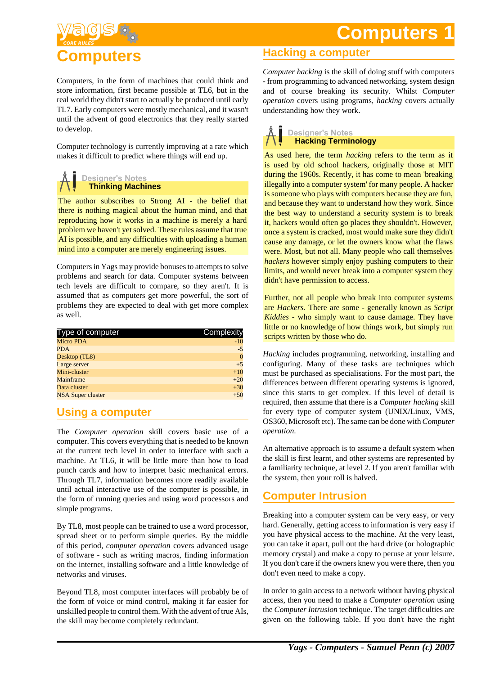# **Computers 1**



Computers, in the form of machines that could think and store information, first became possible at TL6, but in the real world they didn't start to actually be produced until early TL7. Early computers were mostly mechanical, and it wasn't until the advent of good electronics that they really started to develop.

Computer technology is currently improving at a rate which makes it difficult to predict where things will end up.

### **Designer's Notes Thinking Machines**

The author subscribes to Strong AI - the belief that there is nothing magical about the human mind, and that reproducing how it works in a machine is merely a hard problem we haven't yet solved. These rules assume that true AI is possible, and any difficulties with uploading a human mind into a computer are merely engineering issues.

Computers in Yags may provide bonuses to attempts to solve problems and search for data. Computer systems between tech levels are difficult to compare, so they aren't. It is assumed that as computers get more powerful, the sort of problems they are expected to deal with get more complex as well.

| Complexity |
|------------|
| $-10$      |
| $-5$       |
| $\Omega$   |
| $+5$       |
| $+10$      |
| $+20$      |
| $+30$      |
| $+50$      |
|            |

# **Using a computer**

The *Computer operation* skill covers basic use of a computer. This covers everything that is needed to be known at the current tech level in order to interface with such a machine. At TL6, it will be little more than how to load punch cards and how to interpret basic mechanical errors. Through TL7, information becomes more readily available until actual interactive use of the computer is possible, in the form of running queries and using word processors and simple programs.

By TL8, most people can be trained to use a word processor, spread sheet or to perform simple queries. By the middle of this period, *computer operation* covers advanced usage of software - such as writing macros, finding information on the internet, installing software and a little knowledge of networks and viruses.

Beyond TL8, most computer interfaces will probably be of the form of voice or mind control, making it far easier for unskilled people to control them. With the advent of true AIs, the skill may become completely redundant.

### **Hacking a computer**

*Computer hacking* is the skill of doing stuff with computers - from programming to advanced networking, system design and of course breaking its security. Whilst *Computer operation* covers using programs, *hacking* covers actually understanding how they work.



As used here, the term *hacking* refers to the term as it is used by old school hackers, originally those at MIT during the 1960s. Recently, it has come to mean 'breaking illegally into a computer system' for many people. A hacker is someone who plays with computers because they are fun, and because they want to understand how they work. Since the best way to understand a security system is to break it, hackers would often go places they shouldn't. However, once a system is cracked, most would make sure they didn't cause any damage, or let the owners know what the flaws were. Most, but not all. Many people who call themselves *hackers* however simply enjoy pushing computers to their limits, and would never break into a computer system they didn't have permission to access.

Further, not all people who break into computer systems are *Hackers*. There are some - generally known as *Script Kiddies* - who simply want to cause damage. They have little or no knowledge of how things work, but simply run scripts written by those who do.

*Hacking* includes programming, networking, installing and configuring. Many of these tasks are techniques which must be purchased as specialisations. For the most part, the differences between different operating systems is ignored, since this starts to get complex. If this level of detail is required, then assume that there is a *Computer hacking* skill for every type of computer system (UNIX/Linux, VMS, OS360, Microsoft etc). The same can be done with *Computer operation*.

An alternative approach is to assume a default system when the skill is first learnt, and other systems are represented by a familiarity technique, at level 2. If you aren't familiar with the system, then your roll is halved.

### **Computer Intrusion**

Breaking into a computer system can be very easy, or very hard. Generally, getting access to information is very easy if you have physical access to the machine. At the very least, you can take it apart, pull out the hard drive (or holographic memory crystal) and make a copy to peruse at your leisure. If you don't care if the owners knew you were there, then you don't even need to make a copy.

In order to gain access to a network without having physical access, then you need to make a *Computer operation* using the *Computer Intrusion* technique. The target difficulties are given on the following table. If you don't have the right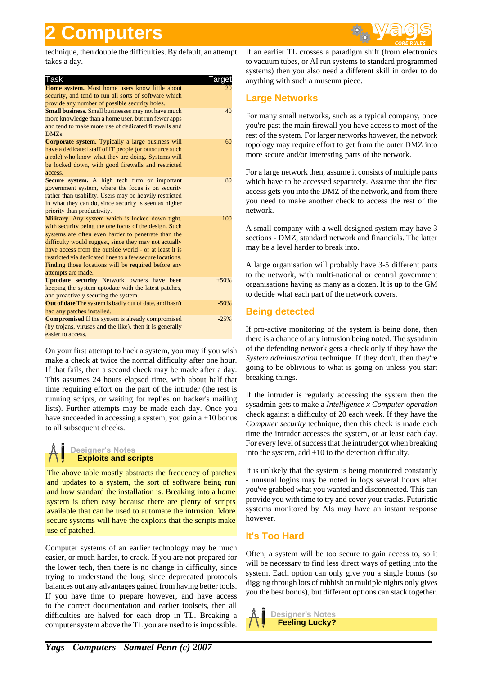# **2 Computers**



technique, then double the difficulties. By default, an attempt takes a day.

| Task                                                           | Targe  |
|----------------------------------------------------------------|--------|
| Home system. Most home users know little about                 | 20     |
| security, and tend to run all sorts of software which          |        |
| provide any number of possible security holes.                 |        |
| <b>Small business.</b> Small businesses may not have much      | 40     |
| more knowledge than a home user, but run fewer apps            |        |
| and tend to make more use of dedicated firewalls and           |        |
| DMZ <sub>s</sub> .                                             |        |
| <b>Corporate system.</b> Typically a large business will       | 60     |
| have a dedicated staff of IT people (or outsource such         |        |
| a role) who know what they are doing. Systems will             |        |
| be locked down, with good firewalls and restricted             |        |
| access.                                                        |        |
| Secure system. A high tech firm or important                   | 80     |
| government system, where the focus is on security              |        |
| rather than usability. Users may be heavily restricted         |        |
| in what they can do, since security is seen as higher          |        |
| priority than productivity.                                    |        |
| Military. Any system which is locked down tight,               | 100    |
| with security being the one focus of the design. Such          |        |
| systems are often even harder to penetrate than the            |        |
| difficulty would suggest, since they may not actually          |        |
| have access from the outside world - or at least it is         |        |
| restricted via dedicated lines to a few secure locations.      |        |
| Finding those locations will be required before any            |        |
| attempts are made.                                             |        |
| <b>Uptodate security</b> Network owners have been              | $+50%$ |
| keeping the system uptodate with the latest patches,           |        |
| and proactively securing the system.                           |        |
| <b>Out of date</b> The system is badly out of date, and hasn't | $-50%$ |
| had any patches installed.                                     |        |
| <b>Compromised</b> If the system is already compromised        | $-25%$ |
| (by trojans, viruses and the like), then it is generally       |        |
| easier to access.                                              |        |
|                                                                |        |

On your first attempt to hack a system, you may if you wish make a check at twice the normal difficulty after one hour. If that fails, then a second check may be made after a day. This assumes 24 hours elapsed time, with about half that time requiring effort on the part of the intruder (the rest is running scripts, or waiting for replies on hacker's mailing lists). Further attempts may be made each day. Once you have succeeded in accessing a system, you gain a +10 bonus to all subsequent checks.

### **Designer's Notes Exploits and scripts**

The above table mostly abstracts the frequency of patches and updates to a system, the sort of software being run and how standard the installation is. Breaking into a home system is often easy because there are plenty of scripts available that can be used to automate the intrusion. More secure systems will have the exploits that the scripts make use of patched.

Computer systems of an earlier technology may be much easier, or much harder, to crack. If you are not prepared for the lower tech, then there is no change in difficulty, since trying to understand the long since deprecated protocols balances out any advantages gained from having better tools. If you have time to prepare however, and have access to the correct documentation and earlier toolsets, then all difficulties are halved for each drop in TL. Breaking a computer system above the TL you are used to is impossible. If an earlier TL crosses a paradigm shift (from electronics to vacuum tubes, or AI run systems to standard programmed systems) then you also need a different skill in order to do anything with such a museum piece.

### **Large Networks**

For many small networks, such as a typical company, once you're past the main firewall you have access to most of the rest of the system. For larger networks however, the network topology may require effort to get from the outer DMZ into more secure and/or interesting parts of the network.

For a large network then, assume it consists of multiple parts which have to be accessed separately. Assume that the first access gets you into the DMZ of the network, and from there you need to make another check to access the rest of the network.

A small company with a well designed system may have 3 sections - DMZ, standard network and financials. The latter may be a level harder to break into.

A large organisation will probably have 3-5 different parts to the network, with multi-national or central government organisations having as many as a dozen. It is up to the GM to decide what each part of the network covers.

### **Being detected**

If pro-active monitoring of the system is being done, then there is a chance of any intrusion being noted. The sysadmin of the defending network gets a check only if they have the *System administration* technique. If they don't, then they're going to be oblivious to what is going on unless you start breaking things.

If the intruder is regularly accessing the system then the sysadmin gets to make a *Intelligence x Computer operation* check against a difficulty of 20 each week. If they have the *Computer security* technique, then this check is made each time the intruder accesses the system, or at least each day. For every level of success that the intruder got when breaking into the system, add +10 to the detection difficulty.

It is unlikely that the system is being monitored constantly - unusual logins may be noted in logs several hours after you've grabbed what you wanted and disconnected. This can provide you with time to try and cover your tracks. Futuristic systems monitored by AIs may have an instant response however.

### **It's Too Hard**

Often, a system will be too secure to gain access to, so it will be necessary to find less direct ways of getting into the system. Each option can only give you a single bonus (so digging through lots of rubbish on multiple nights only gives you the best bonus), but different options can stack together.

**Designer's Notes Feeling Lucky?**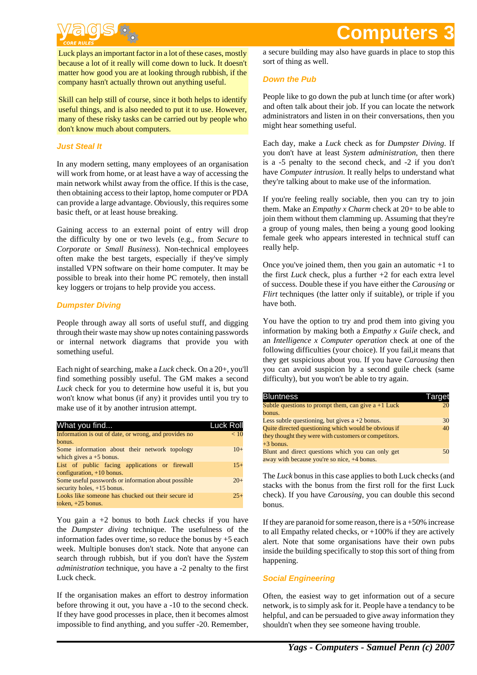# $\circ$

Luck plays an important factor in a lot of these cases, mostly because a lot of it really will come down to luck. It doesn't matter how good you are at looking through rubbish, if the company hasn't actually thrown out anything useful.

Skill can help still of course, since it both helps to identify useful things, and is also needed to put it to use. However, many of these risky tasks can be carried out by people who don't know much about computers.

#### **Just Steal It**

In any modern setting, many employees of an organisation will work from home, or at least have a way of accessing the main network whilst away from the office. If this is the case, then obtaining access to their laptop, home computer or PDA can provide a large advantage. Obviously, this requires some basic theft, or at least house breaking.

Gaining access to an external point of entry will drop the difficulty by one or two levels (e.g., from *Secure* to *Corporate* or *Small Business*). Non-technical employees often make the best targets, especially if they've simply installed VPN software on their home computer. It may be possible to break into their home PC remotely, then install key loggers or trojans to help provide you access.

#### **Dumpster Diving**

People through away all sorts of useful stuff, and digging through their waste may show up notes containing passwords or internal network diagrams that provide you with something useful.

Each night of searching, make a *Luck* check. On a 20+, you'll find something possibly useful. The GM makes a second *Luck* check for you to determine how useful it is, but you won't know what bonus (if any) it provides until you try to make use of it by another intrusion attempt.

| What you find                                         | Luck Roll |
|-------------------------------------------------------|-----------|
| Information is out of date, or wrong, and provides no | < 10      |
| bonus.                                                |           |
| Some information about their network topology         | $10+$     |
| which gives $a + 5$ bonus.                            |           |
| List of public facing applications or firewall        | $15+$     |
| configuration, $+10$ bonus.                           |           |
| Some useful passwords or information about possible   | $20+$     |
| security holes, +15 bonus.                            |           |
| Looks like someone has chucked out their secure id    | $25+$     |
| token, $+25$ bonus.                                   |           |

You gain a +2 bonus to both *Luck* checks if you have the *Dumpster diving* technique. The usefulness of the information fades over time, so reduce the bonus by +5 each week. Multiple bonuses don't stack. Note that anyone can search through rubbish, but if you don't have the *System administration* technique, you have a -2 penalty to the first Luck check.

If the organisation makes an effort to destroy information before throwing it out, you have a -10 to the second check. If they have good processes in place, then it becomes almost impossible to find anything, and you suffer -20. Remember,

# **Computer**

a secure building may also have guards in place to stop this sort of thing as well.

#### **Down the Pub**

People like to go down the pub at lunch time (or after work) and often talk about their job. If you can locate the network administrators and listen in on their conversations, then you might hear something useful.

Each day, make a *Luck* check as for *Dumpster Diving*. If you don't have at least *System administration*, then there is a -5 penalty to the second check, and -2 if you don't have *Computer intrusion*. It really helps to understand what they're talking about to make use of the information.

If you're feeling really sociable, then you can try to join them. Make an *Empathy x Charm* check at 20+ to be able to join them without them clamming up. Assuming that they're a group of young males, then being a young good looking female geek who appears interested in technical stuff can really help.

Once you've joined them, then you gain an automatic  $+1$  to the first *Luck* check, plus a further +2 for each extra level of success. Double these if you have either the *Carousing* or *Flirt* techniques (the latter only if suitable), or triple if you have both.

You have the option to try and prod them into giving you information by making both a *Empathy x Guile* check, and an *Intelligence x Computer operation* check at one of the following difficulties (your choice). If you fail,it means that they get suspicious about you. If you have *Carousing* then you can avoid suspicion by a second guile check (same difficulty), but you won't be able to try again.

| <b>Bluntness</b>                                       | I arget |
|--------------------------------------------------------|---------|
| Subtle questions to prompt them, can give $a + 1$ Luck | 20      |
| bonus.                                                 |         |
| Less subtle questioning, but gives $a + 2$ bonus.      | 30      |
| Quite directed questioning which would be obvious if   | 40      |
| they thought they were with customers or competitors.  |         |
| $+3$ bonus.                                            |         |
| Blunt and direct questions which you can only get      | 50      |
| away with because you're so nice, +4 bonus.            |         |

The *Luck* bonus in this case applies to both Luck checks (and stacks with the bonus from the first roll for the first Luck check). If you have *Carousing*, you can double this second bonus.

If they are paranoid for some reason, there is  $a + 50\%$  increase to all Empathy related checks, or  $+100\%$  if they are actively alert. Note that some organisations have their own pubs inside the building specifically to stop this sort of thing from happening.

#### **Social Engineering**

Often, the easiest way to get information out of a secure network, is to simply ask for it. People have a tendancy to be helpful, and can be persuaded to give away information they shouldn't when they see someone having trouble.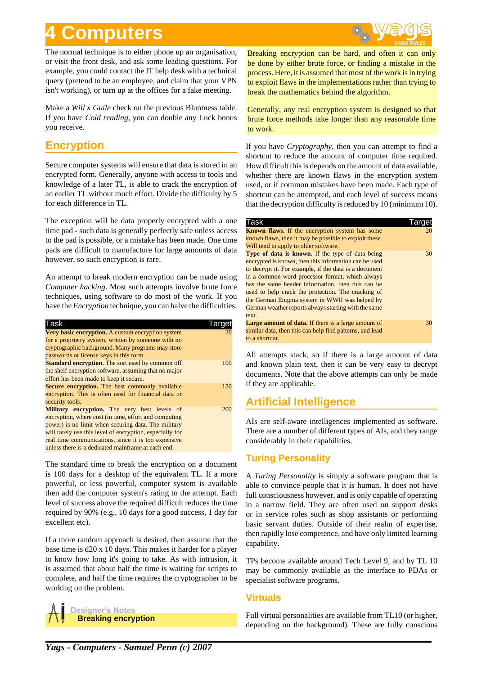# **4 Computers**

The normal technique is to either phone up an organisation, or visit the front desk, and ask some leading questions. For example, you could contact the IT help desk with a technical query (pretend to be an employee, and claim that your VPN isn't working), or turn up at the offices for a fake meeting.

Make a *Will x Guile* check on the previous Bluntness table. If you have *Cold reading*, you can double any Luck bonus you receive.

### **Encryption**

Secure computer systems will ensure that data is stored in an encrypted form. Generally, anyone with access to tools and knowledge of a later TL, is able to crack the encryption of an earlier TL without much effort. Divide the difficulty by 5 for each difference in TL.

The exception will be data properly encrypted with a one time pad - such data is generally perfectly safe unless access to the pad is possible, or a mistake has been made. One time pads are difficult to manufacture for large amounts of data however, so such encryption is rare.

An attempt to break modern encryption can be made using *Computer hacking*. Most such attempts involve brute force techniques, using software to do most of the work. If you have the *Encryption* technique, you can halve the difficulties.

| Task                                                     |     |
|----------------------------------------------------------|-----|
| Very basic encryption. A custom encryption system        |     |
| for a proprietry system, written by someone with no      |     |
| cryptographic background. Many programs may store        |     |
| passwords or license keys in this form.                  |     |
| <b>Standard encryption.</b> The sort used by common off  | 100 |
| the shelf encryption software, assuming that no major    |     |
| effort has been made to keep it secure.                  |     |
| <b>Secure encryption.</b> The best commonly available    | 150 |
| encryption. This is often used for financial data or     |     |
| security tools.                                          |     |
| <b>Military encryption.</b> The very best levels of      | 200 |
| encryption, where cost (in time, effort and computing    |     |
| power) is no limit when securing data. The military      |     |
| will rarely use this level of encryption, especially for |     |
| real time communications, since it is too expensive      |     |
| unless there is a dedicated mainframe at each end.       |     |

The standard time to break the encryption on a document is 100 days for a desktop of the equivalent TL. If a more powerful, or less powerful, computer system is available then add the computer system's rating to the attempt. Each level of success above the required difficult reduces the time required by 90% (e.g., 10 days for a good success, 1 day for excellent etc).

If a more random approach is desired, then assume that the base time is d20 x 10 days. This makes it harder for a player to know how long it's going to take. As with intrusion, it is assumed that about half the time is waiting for scripts to complete, and half the time requires the cryptographer to be working on the problem.



Breaking encryption can be hard, and often it can only be done by either brute force, or finding a mistake in the process. Here, it is assumed that most of the work is in trying to exploit flaws in the implementations rather than trying to break the mathematics behind the algorithm.

Generally, any real encryption system is designed so that brute force methods take longer than any reasonable time to work.

If you have *Cryptography*, then you can attempt to find a shortcut to reduce the amount of computer time required. How difficult this is depends on the amount of data available, whether there are known flaws in the encryption system used, or if common mistakes have been made. Each type of shortcut can be attempted, and each level of success means that the decryption difficulty is reduced by 10 (minimum 10).

| Task                                                       | I arget |
|------------------------------------------------------------|---------|
| <b>Known flaws.</b> If the encryption system has some      | 20      |
| known flaws, then it may be possible to exploit these.     |         |
| Will tend to apply to older software.                      |         |
| Type of data is known. If the type of data being           | 30      |
| encrypted is known, then this information can be used      |         |
| to decrypt it. For example, if the data is a document      |         |
| in a common word processor format, which always            |         |
| has the same header information, then this can be          |         |
| used to help crack the protection. The cracking of         |         |
| the German Enigma system in WWII was helped by             |         |
| German weather reports always starting with the same       |         |
| text.                                                      |         |
| <b>Large amount of data.</b> If there is a large amount of | 30      |
| similar data, then this can help find patterns, and lead   |         |
| to a shortcut.                                             |         |

All attempts stack, so if there is a large amount of data and known plain text, then it can be very easy to decrypt documents. Note that the above attempts can only be made if they are applicable.

# **Artificial Intelligence**

AIs are self-aware intelligences implemented as software. There are a number of different types of AIs, and they range considerably in their capabilities.

### **Turing Personality**

A *Turing Personality* is simply a software program that is able to convince people that it is human. It does not have full consciousness however, and is only capable of operating in a narrow field. They are often used on support desks or in service roles such as shop assistants or performing basic servant duties. Outside of their realm of expertise, then rapidly lose competence, and have only limited learning capability.

TPs become available around Tech Level 9, and by TL 10 may be commonly available as the interface to PDAs or specialist software programs.

### **Virtuals**

Full virtual personalities are available from TL10 (or higher, depending on the background). These are fully conscious